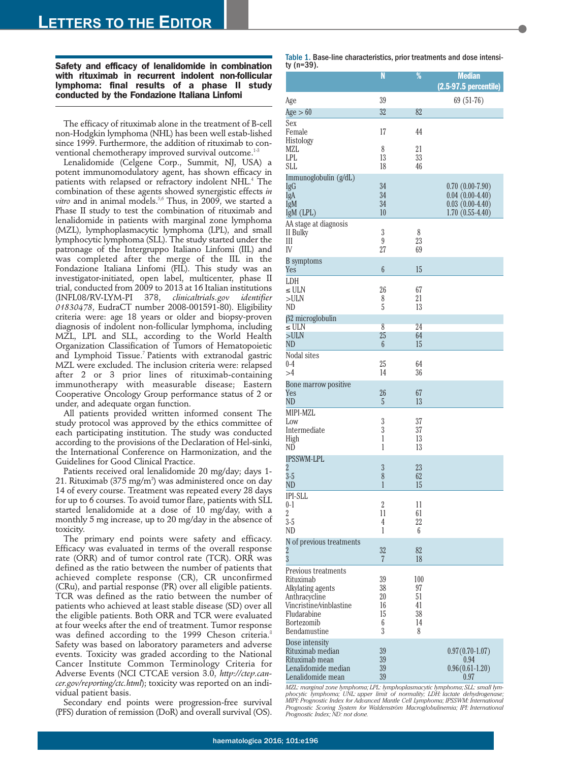**Safety and efficacy of lenalidomide in combination with rituximab in recurrent indolent non-follicular lymphoma: final results of a phase II study conducted by the Fondazione Italiana Linfomi**

The efficacy of rituximab alone in the treatment of B-cell non-Hodgkin lymphoma (NHL) has been well estab-lished since 1999. Furthermore, the addition of rituximab to conventional chemotherapy improved survival outcome.<sup>1-</sup>

Lenalidomide (Celgene Corp., Summit, NJ, USA) a potent immunomodulatory agent, has shown efficacy in patients with relapsed or refractory indolent NHL.<sup>4</sup> The combination of these agents showed synergistic effects *in* vitro and in animal models.<sup>5,6</sup> Thus, in 2009, we started a Phase II study to test the combination of rituximab and lenalidomide in patients with marginal zone lymphoma (MZL), lymphoplasmacytic lymphoma (LPL), and small lymphocytic lymphoma (SLL). The study started under the patronage of the Intergruppo Italiano Linfomi (IIL) and was completed after the merge of the IIL in the Fondazione Italiana Linfomi (FIL). This study was an investigator-initiated, open label, multicenter, phase II trial, conducted from 2009 to 2013 at 16 Italian institutions (INFL08/RV-LYM-PI 378, *clinicaltrials.gov identifier 01830478*, EudraCT number 2008-001591-80). Eligibility criteria were: age 18 years or older and biopsy-proven diagnosis of indolent non-follicular lymphoma, including MZL, LPL and SLL, according to the World Health Organization Classification of Tumors of Hematopoietic and Lymphoid Tissue.<sup>7</sup> Patients with extranodal gastric MZL were excluded. The inclusion criteria were: relapsed after 2 or 3 prior lines of rituximab-containing immunotherapy with measurable disease; Eastern Cooperative Oncology Group performance status of 2 or under, and adequate organ function.

All patients provided written informed consent The study protocol was approved by the ethics committee of each participating institution. The study was conducted according to the provisions of the Declaration of Hel-sinki, the International Conference on Harmonization, and the Guidelines for Good Clinical Practice.

Patients received oral lenalidomide 20 mg/day; days 1-  $21$ . Rituximab (375 mg/m $^{\rm 2}$ ) was administered once on day 14 of every course. Treatment was repeated every 28 days for up to 6 courses. To avoid tumor flare, patients with SLL started lenalidomide at a dose of 10 mg/day, with a monthly 5 mg increase, up to 20 mg/day in the absence of toxicity.

The primary end points were safety and efficacy. Efficacy was evaluated in terms of the overall response rate (ORR) and of tumor control rate (TCR). ORR was defined as the ratio between the number of patients that achieved complete response (CR), CR unconfirmed (CRu), and partial response (PR) over all eligible patients. TCR was defined as the ratio between the number of patients who achieved at least stable disease (SD) over all the eligible patients. Both ORR and TCR were evaluated at four weeks after the end of treatment. Tumor response was defined according to the 1999 Cheson criteria.<sup>8</sup> Safety was based on laboratory parameters and adverse events. Toxicity was graded according to the National Cancer Institute Common Terminology Criteria for Adverse Events (NCI CTCAE version 3.0, *http://ctep.cancer.gov/reporting/ctc.html*); toxicity was reported on an individual patient basis.

Secondary end points were progression-free survival (PFS) duration of remission (DoR) and overall survival (OS).

| Table 1. Base-line characteristics, prior treatments and dose intensi- |  |  |
|------------------------------------------------------------------------|--|--|
| ty (n=39).                                                             |  |  |

|                                                                                                                                                | N                                    | $\frac{9}{6}$                          | <b>Median</b><br>(2.5-97.5 percentile)                                           |
|------------------------------------------------------------------------------------------------------------------------------------------------|--------------------------------------|----------------------------------------|----------------------------------------------------------------------------------|
| Age                                                                                                                                            | 39                                   |                                        | 69 (51-76)                                                                       |
| Age $>60$                                                                                                                                      | 32                                   | 82                                     |                                                                                  |
| Sex<br>Female<br>Histology                                                                                                                     | 17                                   | 44                                     |                                                                                  |
| MZL<br>LPL<br><b>SLL</b>                                                                                                                       | 8<br>13<br>18                        | 21<br>33<br>46                         |                                                                                  |
| Immunoglobulin (g/dL)<br>IgG<br>IgA<br>IgM<br>IgM (LPL)                                                                                        | 34<br>34<br>34<br>10                 |                                        | $0.70(0.00-7.90)$<br>$0.04(0.00-4.40)$<br>$0.03(0.00-4.40)$<br>$1.70(0.55-4.40)$ |
| AA stage at diagnosis<br>II Bulky<br>Ш<br>IV                                                                                                   | 3<br>9<br>27                         | 8<br>23<br>69                          |                                                                                  |
| <b>B</b> symptoms<br>Yes                                                                                                                       | $6\phantom{1}6$                      | 15                                     |                                                                                  |
| LDH<br>≤ ULN<br>>ULN<br>ND                                                                                                                     | 26<br>8<br>5                         | 67<br>21<br>13                         |                                                                                  |
| $\beta$ 2 microglobulin<br>$\leq$ ULN<br>>ULN                                                                                                  | 8<br>25                              | 24<br>64                               |                                                                                  |
| ND<br>Nodal sites                                                                                                                              | 6                                    | 15                                     |                                                                                  |
| $0 - 4$<br>>4                                                                                                                                  | 25<br>14                             | 64<br>36                               |                                                                                  |
| Bone marrow positive<br>Yes<br>ND                                                                                                              | 26<br>5                              | 67<br>13                               |                                                                                  |
| MIPI-MZL<br>Low<br>Intermediate<br>High<br>ND                                                                                                  | 3<br>$\boldsymbol{3}$<br>1<br>1      | 37<br>37<br>13<br>13                   |                                                                                  |
| <b>IPSSWM-LPL</b><br>2<br>$3-5$<br>ND                                                                                                          | $\mathfrak{z}$<br>8<br>1             | 23<br>62<br>15                         |                                                                                  |
| <b>IPI-SLL</b><br>$0 - 1$<br>2<br>$3-5$<br>ND                                                                                                  | $\sqrt{2}$<br>11<br>4<br>1           | 11<br>61<br>22<br>6                    |                                                                                  |
| N of previous treatments<br>$\frac{2}{3}$                                                                                                      | 32<br>7                              | 82<br>18                               |                                                                                  |
| Previous treatments<br>Rituximab<br>Alkylating agents<br>Anthracycline<br>Vincristine/vinblastine<br>Fludarabine<br>Bortezomib<br>Bendamustine | 39<br>38<br>20<br>16<br>15<br>6<br>3 | 100<br>97<br>51<br>41<br>38<br>14<br>8 |                                                                                  |
| Dose intensity<br>Rituximab median<br>Rituximab mean<br>Lenalidomide median<br>Lenalidomide mean                                               | 39<br>39<br>39<br>39                 |                                        | $0.97(0.70-1.07)$<br>0.94<br>$0.96(0.61 - 1.20)$<br>0.97                         |

*MZL: marginal zone lymphoma; LPL: lymphoplasmacytic lymphoma; SLL: small lymphocytic lymphoma; UNL: upper limit of normality; LDH: lactate dehydrogenase; MIPI: Prognostic Index for Advanced Mantle Cell Lymphoma; IPSSWM: International Prognostic Scoring System for Waldenström Macroglobulinemia; IPI: International Prognostic Index; ND: not done.*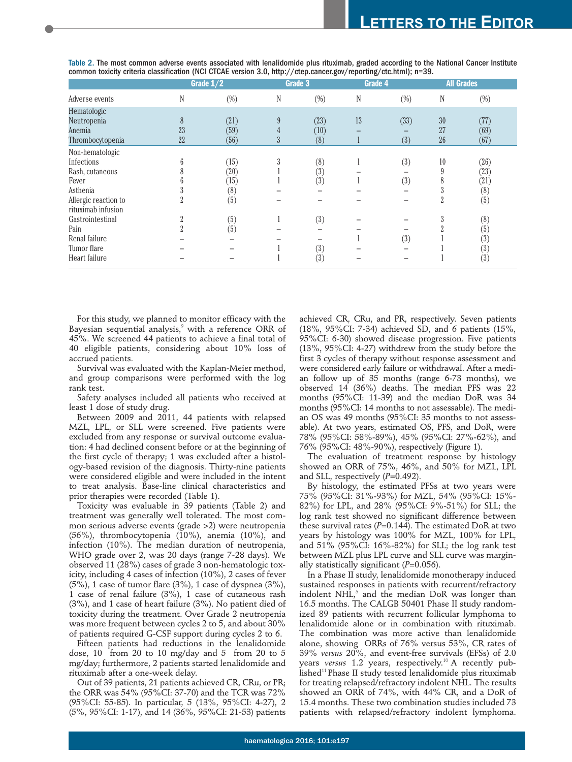|                      | Grade $1/2$    |        | Grade 3 |        | Grade 4 |        | <b>All Grades</b> |        |
|----------------------|----------------|--------|---------|--------|---------|--------|-------------------|--------|
| Adverse events       | N              | $(\%)$ | N       | $(\%)$ | N       | $(\%)$ | N                 | $(\%)$ |
| Hematologic          |                |        |         |        |         |        |                   |        |
| Neutropenia          | 8              | (21)   | 9       | (23)   | 13      | (33)   | 30                | (77)   |
| Anemia               | 23             | (59)   | 4       | (10)   | -       |        | 27                | (69)   |
| Thrombocytopenia     | 22             | (56)   | 3       | (8)    | ш       | (3)    | 26                | (67)   |
| Non-hematologic      |                |        |         |        |         |        |                   |        |
| Infections           | 6              | (15)   | 3       | (8)    |         | (3)    | 10                | (26)   |
| Rash, cutaneous      | ð              | (20)   |         | (3)    |         |        | 9                 | (23)   |
| Fever                | h              | (15)   |         | (3)    |         | (3)    | 8                 | (21)   |
| Asthenia             |                | (8)    |         |        |         |        | 3                 | (8)    |
| Allergic reaction to | $\Omega$<br>Ζ  | (5)    |         |        |         |        | $\overline{2}$    | (5)    |
| rituximab infusion   |                |        |         |        |         |        |                   |        |
| Gastrointestinal     | $\overline{2}$ | (5)    |         | (3)    |         |        | 3                 | (8)    |
| Pain                 | $\overline{2}$ | (5)    |         |        |         |        | $\overline{2}$    | (5)    |
| Renal failure        |                |        |         |        |         | (3)    |                   | (3)    |
| Tumor flare          |                |        |         | (3)    |         |        |                   | (3)    |
| Heart failure        |                |        |         | (3)    |         |        |                   | (3)    |

Table 2. The most common adverse events associated with lenalidomide plus rituximab, graded according to the National Cancer Institute common toxicity criteria classification (NCI CTCAE version 3.0, http://ctep.cancer.gov/reporting/ctc.html); n=39.

For this study, we planned to monitor efficacy with the Bayesian sequential analysis,<sup>9</sup> with a reference ORR of 45%. We screened 44 patients to achieve a final total of 40 eligible patients, considering about 10% loss of accrued patients.

Survival was evaluated with the Kaplan-Meier method, and group comparisons were performed with the log rank test.

Safety analyses included all patients who received at least 1 dose of study drug.

Between 2009 and 2011, 44 patients with relapsed MZL, LPL, or SLL were screened. Five patients were excluded from any response or survival outcome evaluation: 4 had declined consent before or at the beginning of the first cycle of therapy; 1 was excluded after a histology-based revision of the diagnosis. Thirty-nine patients were considered eligible and were included in the intent to treat analysis. Base-line clinical characteristics and prior therapies were recorded (Table 1).

Toxicity was evaluable in 39 patients (Table 2) and treatment was generally well tolerated. The most common serious adverse events (grade >2) were neutropenia (56%), thrombocytopenia (10%), anemia (10%), and infection (10%). The median duration of neutropenia, WHO grade over 2, was 20 days (range 7-28 days). We observed 11 (28%) cases of grade 3 non-hematologic toxicity, including 4 cases of infection (10%), 2 cases of fever  $(5\%)$ , 1 case of tumor flare  $(3\%)$ , 1 case of dyspnea  $(3\%)$ , 1 case of renal failure (3%), 1 case of cutaneous rash (3%), and 1 case of heart failure (3%). No patient died of toxicity during the treatment. Over Grade 2 neutropenia was more frequent between cycles 2 to 5, and about 30% of patients required G-CSF support during cycles 2 to 6.

Fifteen patients had reductions in the lenalidomide dose, 10 from 20 to 10 mg/day and 5 from 20 to 5 mg/day; furthermore, 2 patients started lenalidomide and rituximab after a one-week delay.

Out of 39 patients, 21 patients achieved CR, CRu, or PR; the ORR was 54% (95%CI: 37-70) and the TCR was 72% (95%CI: 55-85). In particular, 5 (13%, 95%CI: 4-27), 2 (5%, 95%CI: 1-17), and 14 (36%, 95%CI: 21-53) patients achieved CR, CRu, and PR, respectively. Seven patients (18%, 95%CI: 7-34) achieved SD, and 6 patients (15%, 95%CI: 6-30) showed disease progression. Five patients (13%, 95%CI: 4-27) withdrew from the study before the first 3 cycles of therapy without response assessment and were considered early failure or withdrawal. After a median follow up of 35 months (range 6-73 months), we observed 14 (36%) deaths. The median PFS was 22 months (95%CI: 11-39) and the median DoR was 34 months (95%CI: 14 months to not assessable). The median OS was 49 months (95%CI: 35 months to not assessable). At two years, estimated OS, PFS, and DoR, were 78% (95%CI: 58%-89%), 45% (95%CI: 27%-62%), and 76% (95%CI: 48%-90%), respectively (Figure 1).

The evaluation of treatment response by histology showed an ORR of 75%, 46%, and 50% for MZL, LPL and SLL, respectively (*P*=0.492).

By histology, the estimated PFSs at two years were 75% (95%CI: 31%-93%) for MZL, 54% (95%CI: 15%- 82%) for LPL, and 28% (95%CI: 9%-51%) for SLL; the log rank test showed no significant difference between these survival rates  $(P=0.144)$ . The estimated DoR at two years by histology was 100% for MZL, 100% for LPL, and 51% (95%CI: 16%-82%) for SLL; the log rank test between MZL plus LPL curve and SLL curve was marginally statistically significant (*P*=0.056).

In a Phase II study, lenalidomide monotherapy induced sustained responses in patients with recurrent/refractory indolent NHL,<sup>5</sup> and the median DoR was longer than 16.5 months. The CALGB 50401 Phase II study randomized 89 patients with recurrent follicular lymphoma to lenalidomide alone or in combination with rituximab. The combination was more active than lenalidomide alone, showing ORRs of 76% versus 53%, CR rates of 39% *versus* 20%, and event-free survivals (EFSs) of 2.0 years versus 1.2 years, respectively.<sup>10</sup> A recently pub- $\mu$ lished<sup>11</sup> Phase II study tested lenalidomide plus rituximab for treating relapsed/refractory indolent NHL. The results showed an ORR of 74%, with 44% CR, and a DoR of 15.4 months. These two combination studies included 73 patients with relapsed/refractory indolent lymphoma.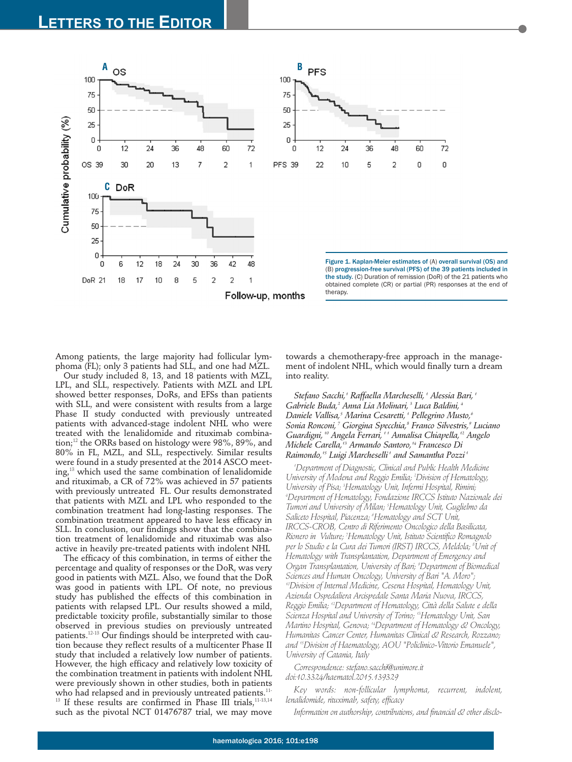

Among patients, the large majority had follicular lymphoma (FL); only 3 patients had SLL, and one had MZL.

Our study included 8, 13, and 18 patients with MZL, LPL, and SLL, respectively. Patients with MZL and LPL showed better responses, DoRs, and EFSs than patients with SLL, and were consistent with results from a large Phase II study conducted with previously untreated patients with advanced-stage indolent NHL who were treated with the lenalidomide and rituximab combination;<sup>12</sup> the ORRs based on histology were 98%, 89%, and 80% in FL, MZL, and SLL, respectively. Similar results were found in a study presented at the 2014 ASCO meeting, $13$  which used the same combination of lenalidomide and rituximab, a CR of 72% was achieved in 57 patients with previously untreated FL. Our results demonstrated that patients with MZL and LPL who responded to the combination treatment had long-lasting responses. The combination treatment appeared to have less efficacy in SLL. In conclusion, our findings show that the combination treatment of lenalidomide and rituximab was also active in heavily pre-treated patients with indolent NHL

The efficacy of this combination, in terms of either the percentage and quality of responses or the DoR, was very good in patients with MZL. Also, we found that the DoR was good in patients with LPL. Of note, no previous study has published the effects of this combination in patients with relapsed LPL. Our results showed a mild, predictable toxicity profile, substantially similar to those observed in previous studies on previously untreated patients.12-13 Our findings should be interpreted with caution because they reflect results of a multicenter Phase II study that included a relatively low number of patients. However, the high efficacy and relatively low toxicity of the combination treatment in patients with indolent NHL were previously shown in other studies, both in patients who had relapsed and in previously untreated patients.<sup>11-</sup>  $13$  If these results are confirmed in Phase III trials,  $11-13,14$ such as the pivotal NCT 01476787 trial, we may move

towards a chemotherapy-free approach in the management of indolent NHL, which would finally turn a dream into reality.

*Stefano Sacchi,1 Raffaella Marcheselli, <sup>1</sup> Alessia Bari, <sup>1</sup> Gabriele Buda,2 Anna Lia Molinari, <sup>3</sup> Luca Baldini, <sup>4</sup> Daniele Vallisa,5 Marina Cesaretti, <sup>1</sup> Pellegrino Musto,6 Sonia Ronconi, <sup>7</sup> Giorgina Specchia,8 Franco Silvestris,9 Luciano Guardigni, <sup>10</sup> Angela Ferrari, 1 1 Annalisa Chiapella,12 Angelo Michele Carella,13 Armando Santoro,14 Francesco Di Raimondo,15 Luigi Marcheselli <sup>1</sup> and Samantha Pozzi <sup>1</sup>*

*1 Department of Diagnostic, Clinical and Public Health Medicine University of Modena and Reggio Emilia; 2 Division of Hematology, University of Pisa; 3 Hematology Unit, Infermi Hospital, Rimini; 4 Department of Hematology, Fondazione IRCCS Istituto Nazionale dei Tumori and University of Milan; 5 Hematology Unit, Guglielmo da Saliceto Hospital, Piacenza; 6 Hematology and SCT Unit, IRCCS-CROB, Centro di Riferimento Oncologico della Basilicata, Rionero in Vulture; 7 Hematology Unit, Istituto Scientifico Romagnolo per lo Studio e la Cura dei Tumori (IRST) IRCCS, Meldola; 8 Unit of Hematology with Transplantation, Department of Emergency and Organ Transplantation, University of Bari; 9 Department of Biomedical Sciences and Human Oncology, University of Bari "A. Moro"; 10Division of Internal Medicine, Cesena Hospital, Hematology Unit, Azienda Ospedaliera Arcispedale Santa Maria Nuova, IRCCS, Reggio Emilia; 12Department of Hematology, Città della Salute e della Scienza Hospital and University of Torino; 13Hematology Unit, San Martino Hospital, Genova; 14Department of Hematology & Oncology, Humanitas Cancer Center, Humanitas Clinical & Research, Rozzano; and 15Division of Haematology, AOU "Policlinico-Vittorio Emanuele", University of Catania, Italy*

*Correspondence: stefano.sacchi@unimore.it doi:10.3324/haematol.2015.139329*

*Key words: non-follicular lymphoma, recurrent, indolent, lenalidomide, rituximab, safety, efficacy*

*Information on authorship, contributions, and financial & other disclo-*